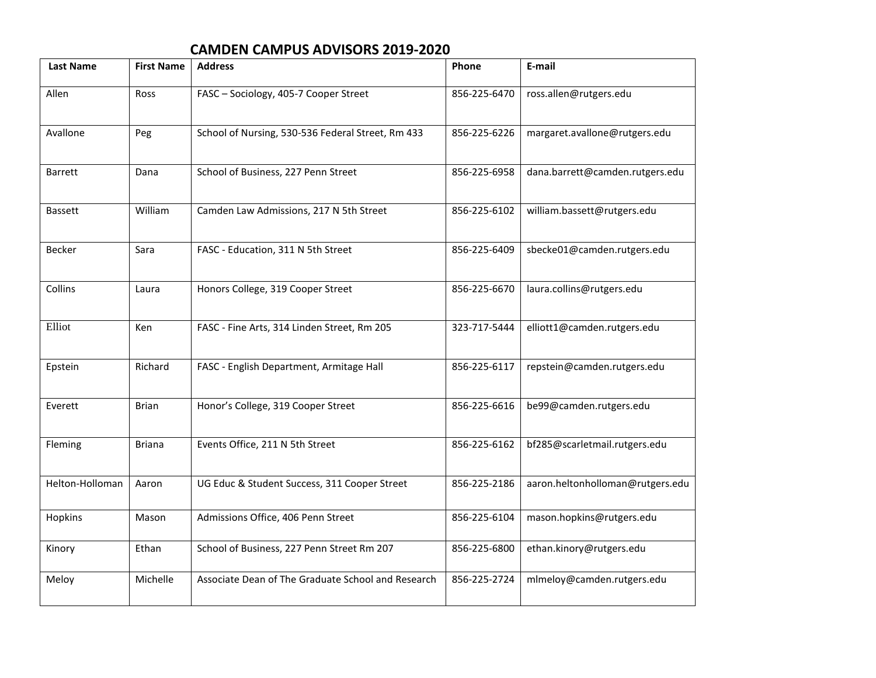## **CAMDEN CAMPUS ADVISORS 2019-2020**

| <b>Last Name</b> | <b>First Name</b> | <b>Address</b>                                     | Phone        | E-mail                           |
|------------------|-------------------|----------------------------------------------------|--------------|----------------------------------|
| Allen            | Ross              | FASC - Sociology, 405-7 Cooper Street              | 856-225-6470 | ross.allen@rutgers.edu           |
| Avallone         | Peg               | School of Nursing, 530-536 Federal Street, Rm 433  | 856-225-6226 | margaret.avallone@rutgers.edu    |
| <b>Barrett</b>   | Dana              | School of Business, 227 Penn Street                | 856-225-6958 | dana.barrett@camden.rutgers.edu  |
| <b>Bassett</b>   | William           | Camden Law Admissions, 217 N 5th Street            | 856-225-6102 | william.bassett@rutgers.edu      |
| <b>Becker</b>    | Sara              | FASC - Education, 311 N 5th Street                 | 856-225-6409 | sbecke01@camden.rutgers.edu      |
| Collins          | Laura             | Honors College, 319 Cooper Street                  | 856-225-6670 | laura.collins@rutgers.edu        |
| Elliot           | Ken               | FASC - Fine Arts, 314 Linden Street, Rm 205        | 323-717-5444 | elliott1@camden.rutgers.edu      |
| Epstein          | Richard           | FASC - English Department, Armitage Hall           | 856-225-6117 | repstein@camden.rutgers.edu      |
| Everett          | <b>Brian</b>      | Honor's College, 319 Cooper Street                 | 856-225-6616 | be99@camden.rutgers.edu          |
| Fleming          | <b>Briana</b>     | Events Office, 211 N 5th Street                    | 856-225-6162 | bf285@scarletmail.rutgers.edu    |
| Helton-Holloman  | Aaron             | UG Educ & Student Success, 311 Cooper Street       | 856-225-2186 | aaron.heltonholloman@rutgers.edu |
| Hopkins          | Mason             | Admissions Office, 406 Penn Street                 | 856-225-6104 | mason.hopkins@rutgers.edu        |
| Kinory           | Ethan             | School of Business, 227 Penn Street Rm 207         | 856-225-6800 | ethan.kinory@rutgers.edu         |
| Meloy            | Michelle          | Associate Dean of The Graduate School and Research | 856-225-2724 | mlmeloy@camden.rutgers.edu       |